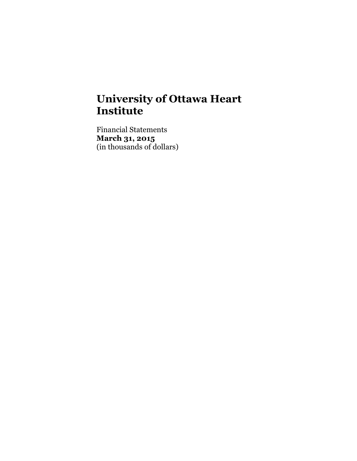# **University of Ottawa Heart Institute**

Financial Statements **March 31, 2015** (in thousands of dollars)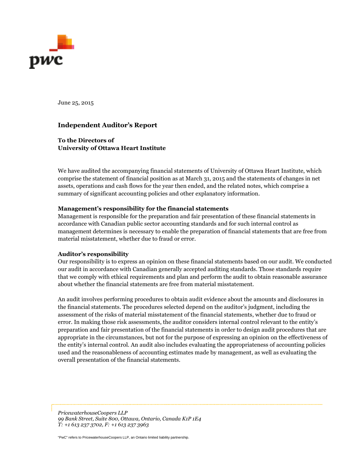

June 25, 2015

#### **Independent Auditor's Report**

#### **To the Directors of University of Ottawa Heart Institute**

We have audited the accompanying financial statements of University of Ottawa Heart Institute, which comprise the statement of financial position as at March 31, 2015 and the statements of changes in net assets, operations and cash flows for the year then ended, and the related notes, which comprise a summary of significant accounting policies and other explanatory information.

#### **Management's responsibility for the financial statements**

Management is responsible for the preparation and fair presentation of these financial statements in accordance with Canadian public sector accounting standards and for such internal control as management determines is necessary to enable the preparation of financial statements that are free from material misstatement, whether due to fraud or error.

#### **Auditor's responsibility**

Our responsibility is to express an opinion on these financial statements based on our audit. We conducted our audit in accordance with Canadian generally accepted auditing standards. Those standards require that we comply with ethical requirements and plan and perform the audit to obtain reasonable assurance about whether the financial statements are free from material misstatement.

An audit involves performing procedures to obtain audit evidence about the amounts and disclosures in the financial statements. The procedures selected depend on the auditor's judgment, including the assessment of the risks of material misstatement of the financial statements, whether due to fraud or error. In making those risk assessments, the auditor considers internal control relevant to the entity's preparation and fair presentation of the financial statements in order to design audit procedures that are appropriate in the circumstances, but not for the purpose of expressing an opinion on the effectiveness of the entity's internal control. An audit also includes evaluating the appropriateness of accounting policies used and the reasonableness of accounting estimates made by management, as well as evaluating the overall presentation of the financial statements.

*PricewaterhouseCoopers LLP 99 Bank Street, Suite 800, Ottawa, Ontario, Canada K1P 1E4 T: +1 613 237 3702, F: +1 613 237 3963*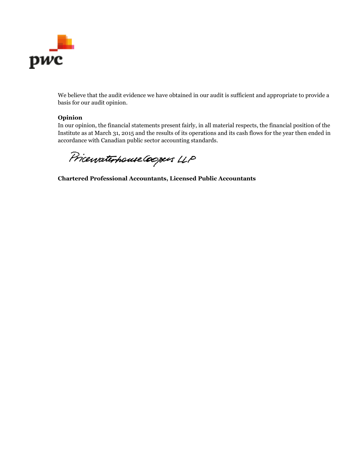

We believe that the audit evidence we have obtained in our audit is sufficient and appropriate to provide a basis for our audit opinion.

#### **Opinion**

In our opinion, the financial statements present fairly, in all material respects, the financial position of the Institute as at March 31, 2015 and the results of its operations and its cash flows for the year then ended in accordance with Canadian public sector accounting standards.

Pricewaterhouse Coopers LLP

**Chartered Professional Accountants, Licensed Public Accountants**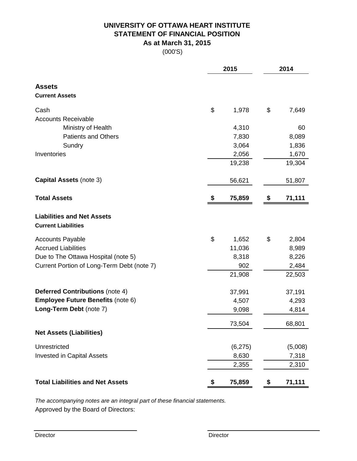# **UNIVERSITY OF OTTAWA HEART INSTITUTE STATEMENT OF FINANCIAL POSITION As at March 31, 2015**

(000'S)

|                                                                 | 2015 |          | 2014 |         |  |
|-----------------------------------------------------------------|------|----------|------|---------|--|
| <b>Assets</b><br><b>Current Assets</b>                          |      |          |      |         |  |
| Cash                                                            | \$   | 1,978    | \$   | 7,649   |  |
| <b>Accounts Receivable</b>                                      |      |          |      |         |  |
| Ministry of Health                                              |      | 4,310    |      | 60      |  |
| <b>Patients and Others</b>                                      |      | 7,830    |      | 8,089   |  |
| Sundry                                                          |      | 3,064    |      | 1,836   |  |
| Inventories                                                     |      | 2,056    |      | 1,670   |  |
|                                                                 |      | 19,238   |      | 19,304  |  |
| <b>Capital Assets (note 3)</b>                                  |      | 56,621   |      | 51,807  |  |
| <b>Total Assets</b>                                             | \$   | 75,859   | \$   | 71,111  |  |
| <b>Liabilities and Net Assets</b><br><b>Current Liabilities</b> |      |          |      |         |  |
| <b>Accounts Payable</b>                                         | \$   | 1,652    | \$   | 2,804   |  |
| <b>Accrued Liabilities</b>                                      |      | 11,036   |      | 8,989   |  |
| Due to The Ottawa Hospital (note 5)                             |      | 8,318    |      | 8,226   |  |
| Current Portion of Long-Term Debt (note 7)                      |      | 902      |      | 2,484   |  |
|                                                                 |      | 21,908   |      | 22,503  |  |
| <b>Deferred Contributions (note 4)</b>                          |      | 37,991   |      | 37,191  |  |
| <b>Employee Future Benefits (note 6)</b>                        |      | 4,507    |      | 4,293   |  |
| Long-Term Debt (note 7)                                         |      | 9,098    |      | 4,814   |  |
|                                                                 |      | 73,504   |      | 68,801  |  |
| <b>Net Assets (Liabilities)</b>                                 |      |          |      |         |  |
| Unrestricted                                                    |      | (6, 275) |      | (5,008) |  |
| <b>Invested in Capital Assets</b>                               |      | 8,630    |      | 7,318   |  |
|                                                                 |      | 2,355    |      | 2,310   |  |
| <b>Total Liabilities and Net Assets</b>                         | \$   | 75,859   | \$   | 71,111  |  |

*The accompanying notes are an integral part of these financial statements.* Approved by the Board of Directors: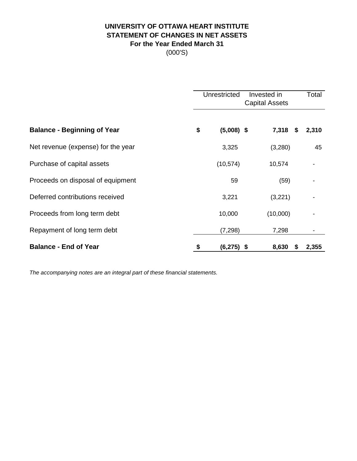# **UNIVERSITY OF OTTAWA HEART INSTITUTE STATEMENT OF CHANGES IN NET ASSETS For the Year Ended March 31**

(000'S)

|                                    | Unrestricted |              | Invested in<br><b>Capital Assets</b> |    | Total |  |
|------------------------------------|--------------|--------------|--------------------------------------|----|-------|--|
| <b>Balance - Beginning of Year</b> | \$           | $(5,008)$ \$ | 7,318                                | \$ | 2,310 |  |
| Net revenue (expense) for the year |              | 3,325        | (3,280)                              |    | 45    |  |
| Purchase of capital assets         |              | (10, 574)    | 10,574                               |    |       |  |
| Proceeds on disposal of equipment  |              | 59           | (59)                                 |    |       |  |
| Deferred contributions received    |              | 3,221        | (3,221)                              |    |       |  |
| Proceeds from long term debt       |              | 10,000       | (10,000)                             |    |       |  |
| Repayment of long term debt        |              | (7, 298)     | 7,298                                |    |       |  |
| <b>Balance - End of Year</b>       | \$           | $(6,275)$ \$ | 8,630                                | S  | 2,355 |  |

*The accompanying notes are an integral part of these financial statements.*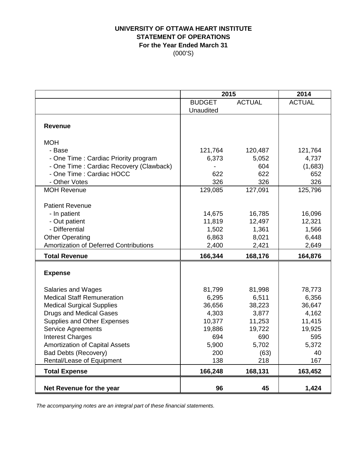# **UNIVERSITY OF OTTAWA HEART INSTITUTE STATEMENT OF OPERATIONS For the Year Ended March 31**

(000'S)

|                                         | 2015          | 2014          |               |
|-----------------------------------------|---------------|---------------|---------------|
|                                         | <b>BUDGET</b> | <b>ACTUAL</b> | <b>ACTUAL</b> |
|                                         | Unaudited     |               |               |
|                                         |               |               |               |
| <b>Revenue</b>                          |               |               |               |
| <b>MOH</b>                              |               |               |               |
| - Base                                  | 121,764       | 120,487       | 121,764       |
| - One Time: Cardiac Priority program    | 6,373         | 5,052         | 4,737         |
| - One Time: Cardiac Recovery (Clawback) |               | 604           | (1,683)       |
| - One Time : Cardiac HOCC               | 622           | 622           | 652           |
| - Other Votes                           | 326           | 326           | 326           |
| <b>MOH Revenue</b>                      | 129,085       | 127,091       | 125,796       |
|                                         |               |               |               |
| <b>Patient Revenue</b>                  |               |               |               |
| - In patient                            | 14,675        | 16,785        | 16,096        |
| - Out patient                           | 11,819        | 12,497        | 12,321        |
| - Differential                          | 1,502         | 1,361         | 1,566         |
| <b>Other Operating</b>                  | 6,863         | 8,021         | 6,448         |
| Amortization of Deferred Contributions  | 2,400         | 2,421         | 2,649         |
| <b>Total Revenue</b>                    | 166,344       | 168,176       | 164,876       |
|                                         |               |               |               |
| <b>Expense</b>                          |               |               |               |
| Salaries and Wages                      | 81,799        | 81,998        | 78,773        |
| <b>Medical Staff Remuneration</b>       | 6,295         | 6,511         | 6,356         |
| <b>Medical Surgical Supplies</b>        | 36,656        | 38,223        | 36,647        |
| <b>Drugs and Medical Gases</b>          | 4,303         | 3,877         | 4,162         |
| Supplies and Other Expenses             | 10,377        | 11,253        | 11,415        |
| <b>Service Agreements</b>               | 19,886        | 19,722        | 19,925        |
| <b>Interest Charges</b>                 | 694           | 690           | 595           |
| <b>Amortization of Capital Assets</b>   | 5,900         | 5,702         | 5,372         |
| <b>Bad Debts (Recovery)</b>             | 200           | (63)          | 40            |
| Rental/Lease of Equipment               | 138           | 218           | 167           |
| <b>Total Expense</b>                    | 166,248       | 168,131       | 163,452       |
|                                         |               |               |               |
| Net Revenue for the year                | 96            | 45            | 1,424         |

*The accompanying notes are an integral part of these financial statements.*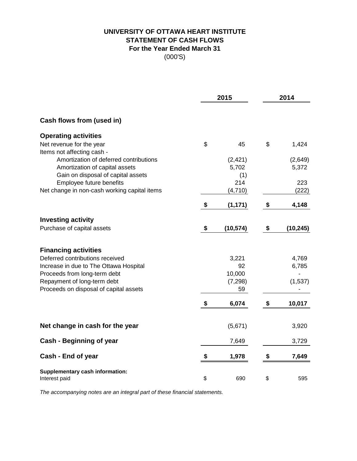# **UNIVERSITY OF OTTAWA HEART INSTITUTE STATEMENT OF CASH FLOWS For the Year Ended March 31** (000'S)

|                                                                      | 2015            | 2014            |
|----------------------------------------------------------------------|-----------------|-----------------|
| Cash flows from (used in)                                            |                 |                 |
| <b>Operating activities</b>                                          |                 |                 |
| Net revenue for the year                                             | \$<br>45        | \$<br>1,424     |
| Items not affecting cash -<br>Amortization of deferred contributions | (2, 421)        | (2,649)         |
| Amortization of capital assets                                       | 5,702           | 5,372           |
| Gain on disposal of capital assets                                   | (1)             |                 |
| Employee future benefits                                             | 214             | 223             |
| Net change in non-cash working capital items                         | (4,710)         | (222)           |
|                                                                      | \$<br>(1, 171)  | \$<br>4,148     |
| <b>Investing activity</b>                                            |                 |                 |
| Purchase of capital assets                                           | \$<br>(10, 574) | \$<br>(10, 245) |
| <b>Financing activities</b>                                          |                 |                 |
| Deferred contributions received                                      | 3,221           | 4,769           |
| Increase in due to The Ottawa Hospital                               | 92              | 6,785           |
| Proceeds from long-term debt                                         | 10,000          |                 |
| Repayment of long-term debt                                          | (7, 298)        | (1,537)         |
| Proceeds on disposal of capital assets                               | 59              |                 |
|                                                                      | \$<br>6,074     | \$<br>10,017    |
| Net change in cash for the year                                      | (5,671)         | 3,920           |
| <b>Cash - Beginning of year</b>                                      | 7,649           | 3,729           |
| Cash - End of year                                                   | \$<br>1,978     | \$<br>7,649     |
|                                                                      |                 |                 |
| Supplementary cash information:<br>Interest paid                     | \$<br>690       | \$<br>595       |

*The accompanying notes are an integral part of these financial statements.*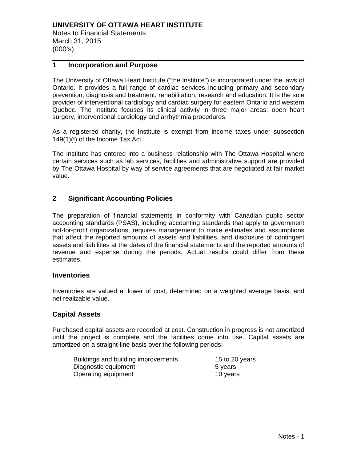#### **1 Incorporation and Purpose**

The University of Ottawa Heart Institute ("the Institute") is incorporated under the laws of Ontario. It provides a full range of cardiac services including primary and secondary prevention, diagnosis and treatment, rehabilitation, research and education. It is the sole provider of interventional cardiology and cardiac surgery for eastern Ontario and western Quebec. The Institute focuses its clinical activity in three major areas: open heart surgery, interventional cardiology and arrhythmia procedures.

As a registered charity, the Institute is exempt from income taxes under subsection 149(1)(f) of the Income Tax Act.

The Institute has entered into a business relationship with The Ottawa Hospital where certain services such as lab services, facilities and administrative support are provided by The Ottawa Hospital by way of service agreements that are negotiated at fair market value.

#### **2 Significant Accounting Policies**

The preparation of financial statements in conformity with Canadian public sector accounting standards (PSAS), including accounting standards that apply to government not-for-profit organizations, requires management to make estimates and assumptions that affect the reported amounts of assets and liabilities, and disclosure of contingent assets and liabilities at the dates of the financial statements and the reported amounts of revenue and expense during the periods. Actual results could differ from these estimates.

#### **Inventories**

Inventories are valued at lower of cost, determined on a weighted average basis, and net realizable value.

#### **Capital Assets**

Purchased capital assets are recorded at cost. Construction in progress is not amortized until the project is complete and the facilities come into use. Capital assets are amortized on a straight-line basis over the following periods:

| Buildings and building improvements | 15 to 20 years |
|-------------------------------------|----------------|
| Diagnostic equipment                | 5 years        |
| Operating equipment                 | 10 years       |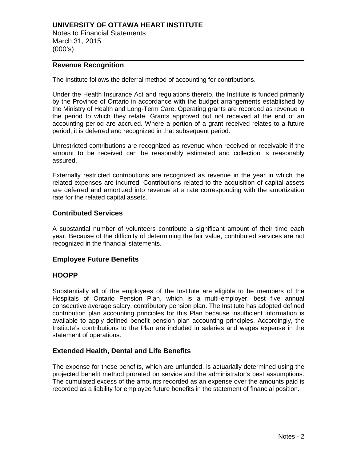#### **Revenue Recognition**

The Institute follows the deferral method of accounting for contributions.

Under the Health Insurance Act and regulations thereto, the Institute is funded primarily by the Province of Ontario in accordance with the budget arrangements established by the Ministry of Health and Long-Term Care. Operating grants are recorded as revenue in the period to which they relate. Grants approved but not received at the end of an accounting period are accrued. Where a portion of a grant received relates to a future period, it is deferred and recognized in that subsequent period.

Unrestricted contributions are recognized as revenue when received or receivable if the amount to be received can be reasonably estimated and collection is reasonably assured.

Externally restricted contributions are recognized as revenue in the year in which the related expenses are incurred. Contributions related to the acquisition of capital assets are deferred and amortized into revenue at a rate corresponding with the amortization rate for the related capital assets.

#### **Contributed Services**

A substantial number of volunteers contribute a significant amount of their time each year. Because of the difficulty of determining the fair value, contributed services are not recognized in the financial statements.

#### **Employee Future Benefits**

#### **HOOPP**

Substantially all of the employees of the Institute are eligible to be members of the Hospitals of Ontario Pension Plan, which is a multi-employer, best five annual consecutive average salary, contributory pension plan. The Institute has adopted defined contribution plan accounting principles for this Plan because insufficient information is available to apply defined benefit pension plan accounting principles. Accordingly, the Institute's contributions to the Plan are included in salaries and wages expense in the statement of operations.

#### **Extended Health, Dental and Life Benefits**

The expense for these benefits, which are unfunded, is actuarially determined using the projected benefit method prorated on service and the administrator's best assumptions. The cumulated excess of the amounts recorded as an expense over the amounts paid is recorded as a liability for employee future benefits in the statement of financial position.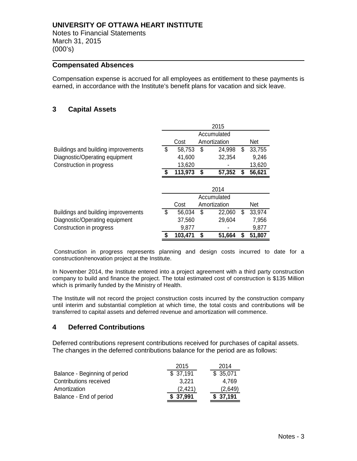Notes to Financial Statements March 31, 2015 (000's)

## **Compensated Absences**

Compensation expense is accrued for all employees as entitlement to these payments is earned, in accordance with the Institute's benefit plans for vacation and sick leave.

# **3 Capital Assets**

|                                     | 2015 |         |              |             |     |        |
|-------------------------------------|------|---------|--------------|-------------|-----|--------|
|                                     |      |         |              | Accumulated |     |        |
|                                     |      | Cost    | Amortization |             |     | Net    |
| Buildings and building improvements | \$   | 58,753  | \$           | 24,998      | \$  | 33,755 |
| Diagnostic/Operating equipment      |      | 41,600  |              | 32,354      |     | 9,246  |
| Construction in progress            |      | 13,620  |              |             |     | 13,620 |
|                                     |      | 113,973 | S            | 57,352      | S   | 56,621 |
|                                     |      |         |              |             |     |        |
|                                     |      |         |              | 2014        |     |        |
|                                     |      |         |              | Accumulated |     |        |
|                                     |      | Cost    | Amortization |             |     | Net    |
| Buildings and building improvements | \$   | 56,034  | \$           | 22,060      | \$. | 33,974 |
| Diagnostic/Operating equipment      |      | 37,560  |              | 29,604      |     | 7,956  |
| Construction in progress            |      | 9,877   |              |             |     | 9,877  |
|                                     |      | 103,471 | S            | 51,664      | S   | 51,807 |

Construction in progress represents planning and design costs incurred to date for a construction/renovation project at the Institute.

In November 2014, the Institute entered into a project agreement with a third party construction company to build and finance the project. The total estimated cost of construction is \$135 Million which is primarily funded by the Ministry of Health.

The Institute will not record the project construction costs incurred by the construction company until interim and substantial completion at which time, the total costs and contributions will be transferred to capital assets and deferred revenue and amortization will commence.

# **4 Deferred Contributions**

Deferred contributions represent contributions received for purchases of capital assets. The changes in the deferred contributions balance for the period are as follows:

|                               | 2015     | 2014     |
|-------------------------------|----------|----------|
| Balance - Beginning of period | \$37,191 | \$35,071 |
| Contributions received        | 3.221    | 4.769    |
| Amortization                  | (2, 421) | (2,649)  |
| Balance - End of period       | \$37,991 | \$37,191 |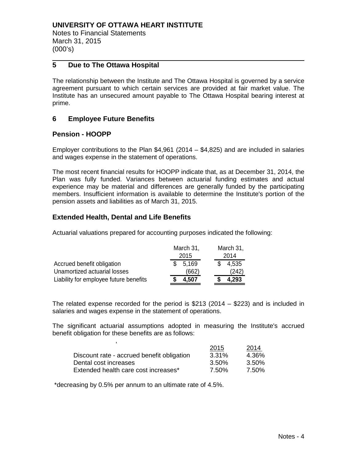# **5 Due to The Ottawa Hospital**

The relationship between the Institute and The Ottawa Hospital is governed by a service agreement pursuant to which certain services are provided at fair market value. The Institute has an unsecured amount payable to The Ottawa Hospital bearing interest at prime.

# **6 Employee Future Benefits**

#### **Pension - HOOPP**

Employer contributions to the Plan \$4,961 (2014 – \$4,825) and are included in salaries and wages expense in the statement of operations.

The most recent financial results for HOOPP indicate that, as at December 31, 2014, the Plan was fully funded. Variances between actuarial funding estimates and actual experience may be material and differences are generally funded by the participating members. Insufficient information is available to determine the Institute's portion of the pension assets and liabilities as of March 31, 2015.

# **Extended Health, Dental and Life Benefits**

,

Actuarial valuations prepared for accounting purposes indicated the following:

|                                        | March 31, | March 31, |
|----------------------------------------|-----------|-----------|
|                                        | 2015      | 2014      |
| Accrued benefit obligation             | 5.169     | 4,535     |
| Unamortized actuarial losses           | (662)     | (242)     |
| Liability for employee future benefits | 4,507     | 4,293     |

The related expense recorded for the period is \$213 (2014 – \$223) and is included in salaries and wages expense in the statement of operations.

The significant actuarial assumptions adopted in measuring the Institute's accrued benefit obligation for these benefits are as follows:

|                                            | 2015  | 2014  |
|--------------------------------------------|-------|-------|
| Discount rate - accrued benefit obligation | 3.31% | 4.36% |
| Dental cost increases                      | 3.50% | 3.50% |
| Extended health care cost increases*       | 7.50% | 7.50% |

\*decreasing by 0.5% per annum to an ultimate rate of 4.5%.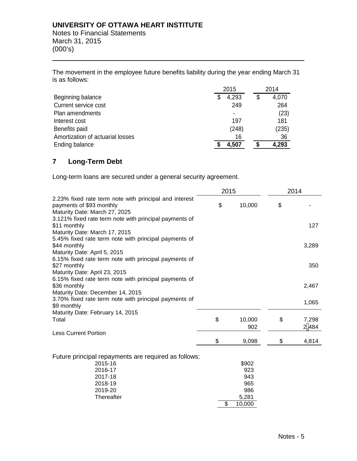# **UNIVERSITY OF OTTAWA HEART INSTITUTE**

Notes to Financial Statements March 31, 2015 (000's)

The movement in the employee future benefits liability during the year ending March 31 is as follows:

|                                  | 2015        | 2014        |
|----------------------------------|-------------|-------------|
| Beginning balance                | \$<br>4,293 | \$<br>4,070 |
| Current service cost             | 249         | 264         |
| Plan amendments                  |             | (23)        |
| Interest cost                    | 197         | 181         |
| Benefits paid                    | (248)       | (235)       |
| Amortization of actuarial losses | 16          | 36          |
| Ending balance                   | 4,507       | 4,293       |

# **7 Long-Term Debt**

Long-term loans are secured under a general security agreement.

|                                                                                                                                  | 2015 |                                                      | 2014 |                |
|----------------------------------------------------------------------------------------------------------------------------------|------|------------------------------------------------------|------|----------------|
| 2.23% fixed rate term note with principal and interest<br>payments of \$93 monthly<br>Maturity Date: March 27, 2025              | \$   | 10,000                                               | \$   |                |
| 3.121% fixed rate term note with principal payments of<br>\$11 monthly<br>Maturity Date: March 17, 2015                          |      |                                                      |      | 127            |
| 5.45% fixed rate term note with principal payments of<br>\$44 monthly<br>Maturity Date: April 5, 2015                            |      |                                                      |      | 3,289          |
| 6.15% fixed rate term note with principal payments of<br>\$27 monthly<br>Maturity Date: April 23, 2015                           |      |                                                      |      | 350            |
| 6.15% fixed rate term note with principal payments of<br>\$36 monthly<br>Maturity Date: December 14, 2015                        |      |                                                      |      | 2,467          |
| 3.70% fixed rate term note with principal payments of<br>\$9 monthly                                                             |      |                                                      |      | 1,065          |
| Maturity Date: February 14, 2015<br>Total                                                                                        | \$   | 10,000<br>902                                        | \$   | 7,298<br>2,484 |
| <b>Less Current Portion</b>                                                                                                      | \$   | 9,098                                                | \$   | 4,814          |
| Future principal repayments are required as follows:<br>2015-16<br>2016-17<br>2017-18<br>2018-19<br>2019-20<br><b>Thereafter</b> | \$   | \$902<br>923<br>943<br>965<br>986<br>5,281<br>10,000 |      |                |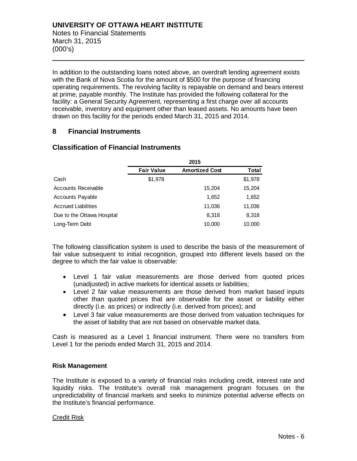Notes to Financial Statements March 31, 2015 (000's)

In addition to the outstanding loans noted above, an overdraft lending agreement exists with the Bank of Nova Scotia for the amount of \$500 for the purpose of financing operating requirements. The revolving facility is repayable on demand and bears interest at prime, payable monthly. The Institute has provided the following collateral for the facility: a General Security Agreement, representing a first charge over all accounts receivable, inventory and equipment other than leased assets. No amounts have been drawn on this facility for the periods ended March 31, 2015 and 2014.

# **8 Financial Instruments**

# **Classification of Financial Instruments**

|                            |                   | 2015                  |         |
|----------------------------|-------------------|-----------------------|---------|
|                            | <b>Fair Value</b> | <b>Amortized Cost</b> | Total   |
| Cash                       | \$1,978           |                       | \$1,978 |
| Accounts Receivable        |                   | 15,204                | 15,204  |
| <b>Accounts Payable</b>    |                   | 1,652                 | 1,652   |
| <b>Accrued Liabilities</b> |                   | 11,036                | 11,036  |
| Due to the Ottawa Hospital |                   | 8,318                 | 8,318   |
| Long-Term Debt             |                   | 10,000                | 10,000  |

The following classification system is used to describe the basis of the measurement of fair value subsequent to initial recognition, grouped into different levels based on the degree to which the fair value is observable:

- Level 1 fair value measurements are those derived from quoted prices (unadjusted) in active markets for identical assets or liabilities;
- Level 2 fair value measurements are those derived from market based inputs other than quoted prices that are observable for the asset or liability either directly (i.e. as prices) or indirectly (i.e. derived from prices); and
- Level 3 fair value measurements are those derived from valuation techniques for the asset of liability that are not based on observable market data.

Cash is measured as a Level 1 financial instrument. There were no transfers from Level 1 for the periods ended March 31, 2015 and 2014.

#### **Risk Management**

The Institute is exposed to a variety of financial risks including credit, interest rate and liquidity risks. The Institute's overall risk management program focuses on the unpredictability of financial markets and seeks to minimize potential adverse effects on the Institute's financial performance.

#### Credit Risk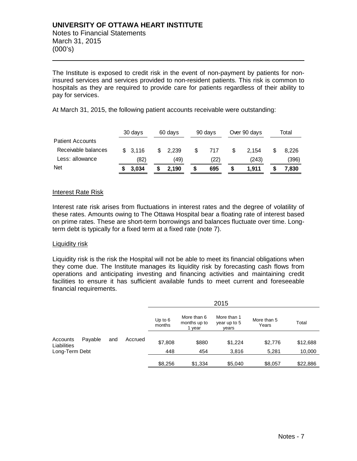The Institute is exposed to credit risk in the event of non-payment by patients for noninsured services and services provided to non-resident patients. This risk is common to hospitals as they are required to provide care for patients regardless of their ability to pay for services.

At March 31, 2015, the following patient accounts receivable were outstanding:

|                         | 30 days |     | 60 davs |     | 90 days |  | Over 90 days |  | Total |  |
|-------------------------|---------|-----|---------|-----|---------|--|--------------|--|-------|--|
| <b>Patient Accounts</b> |         |     |         |     |         |  |              |  |       |  |
| Receivable balances     | \$3,116 | \$. | 2.239   | \$. | 717     |  | 2.154        |  | 8.226 |  |
| Less: allowance         | (82)    |     | (49)    |     | (22)    |  | (243)        |  | (396) |  |
| <b>Net</b>              | 3.034   |     | 2.190   |     | 695     |  | 1.911        |  | 7.830 |  |

#### Interest Rate Risk

Interest rate risk arises from fluctuations in interest rates and the degree of volatility of these rates. Amounts owing to The Ottawa Hospital bear a floating rate of interest based on prime rates. These are short-term borrowings and balances fluctuate over time. Longterm debt is typically for a fixed term at a fixed rate (note 7).

#### Liquidity risk

Liquidity risk is the risk the Hospital will not be able to meet its financial obligations when they come due. The Institute manages its liquidity risk by forecasting cash flows from operations and anticipating investing and financing activities and maintaining credit facilities to ensure it has sufficient available funds to meet current and foreseeable financial requirements.

|                                    |     |         | 2015                |                                       |                                      |                      |          |  |  |  |  |
|------------------------------------|-----|---------|---------------------|---------------------------------------|--------------------------------------|----------------------|----------|--|--|--|--|
|                                    |     |         | Up to $6$<br>months | More than 6<br>months up to<br>1 year | More than 1<br>year up to 5<br>years | More than 5<br>Years | Total    |  |  |  |  |
| Payable<br>Accounts<br>Liabilities | and | Accrued | \$7,808             | \$880                                 | \$1,224                              | \$2,776              | \$12,688 |  |  |  |  |
| Long-Term Debt                     |     |         | 448                 | 454                                   | 3,816                                | 5,281                | 10,000   |  |  |  |  |
|                                    |     |         | \$8,256             | \$1,334                               | \$5,040                              | \$8,057              | \$22,886 |  |  |  |  |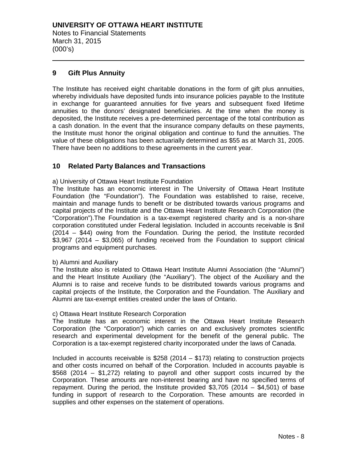# **9 Gift Plus Annuity**

The Institute has received eight charitable donations in the form of gift plus annuities, whereby individuals have deposited funds into insurance policies payable to the Institute in exchange for guaranteed annuities for five years and subsequent fixed lifetime annuities to the donors' designated beneficiaries. At the time when the money is deposited, the Institute receives a pre-determined percentage of the total contribution as a cash donation. In the event that the insurance company defaults on these payments, the Institute must honor the original obligation and continue to fund the annuities. The value of these obligations has been actuarially determined as \$55 as at March 31, 2005. There have been no additions to these agreements in the current year.

# **10 Related Party Balances and Transactions**

a) University of Ottawa Heart Institute Foundation

The Institute has an economic interest in The University of Ottawa Heart Institute Foundation (the "Foundation"). The Foundation was established to raise, receive, maintain and manage funds to benefit or be distributed towards various programs and capital projects of the Institute and the Ottawa Heart Institute Research Corporation (the "Corporation").The Foundation is a tax-exempt registered charity and is a non-share corporation constituted under Federal legislation. Included in accounts receivable is \$nil (2014 – \$44) owing from the Foundation. During the period, the Institute recorded \$3,967 (2014 – \$3,065) of funding received from the Foundation to support clinical programs and equipment purchases.

#### b) Alumni and Auxiliary

The Institute also is related to Ottawa Heart Institute Alumni Association (the "Alumni") and the Heart Institute Auxiliary (the "Auxiliary"). The object of the Auxiliary and the Alumni is to raise and receive funds to be distributed towards various programs and capital projects of the Institute, the Corporation and the Foundation. The Auxiliary and Alumni are tax-exempt entities created under the laws of Ontario.

#### c) Ottawa Heart Institute Research Corporation

The Institute has an economic interest in the Ottawa Heart Institute Research Corporation (the "Corporation") which carries on and exclusively promotes scientific research and experimental development for the benefit of the general public. The Corporation is a tax-exempt registered charity incorporated under the laws of Canada.

Included in accounts receivable is \$258 (2014 – \$173) relating to construction projects and other costs incurred on behalf of the Corporation. Included in accounts payable is \$568 (2014 – \$1,272) relating to payroll and other support costs incurred by the Corporation. These amounts are non-interest bearing and have no specified terms of repayment. During the period, the Institute provided \$3,705 (2014 – \$4,501) of base funding in support of research to the Corporation. These amounts are recorded in supplies and other expenses on the statement of operations.